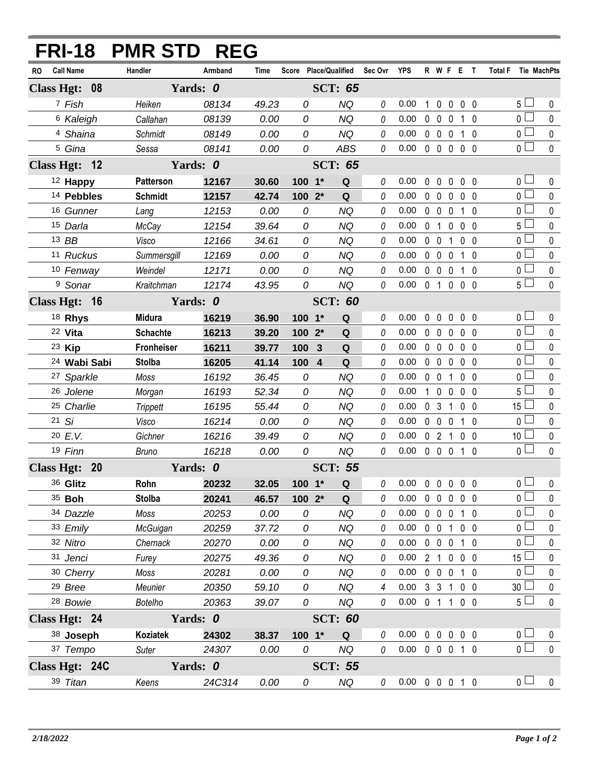|                |                       |                         | <b>FRI-18 PMR STD REG</b> |          |       |                       |                |          |                            |             |                   |                |                |                |                |                 |             |
|----------------|-----------------------|-------------------------|---------------------------|----------|-------|-----------------------|----------------|----------|----------------------------|-------------|-------------------|----------------|----------------|----------------|----------------|-----------------|-------------|
| RO.            | <b>Call Name</b>      |                         | Handler                   | Armband  | Time  | Score Place/Qualified |                | Sec Ovr  | <b>YPS</b>                 |             | R W F E T         |                |                |                | <b>Total F</b> |                 | Tie MachPts |
| Class Hgt: 08  |                       |                         |                           | Yards: 0 |       |                       | <b>SCT: 65</b> |          |                            |             |                   |                |                |                |                |                 |             |
|                | 7 Fish                |                         | Heiken                    | 08134    | 49.23 | 0                     | <b>NQ</b>      | 0        | 0.00                       | 1           | $\mathbf 0$       | $\mathbf 0$    |                | $0\quad 0$     |                | 5 <sub>1</sub>  | $\mathbf 0$ |
|                | <sup>6</sup> Kaleigh  |                         | Callahan                  | 08139    | 0.00  | 0                     | <b>NQ</b>      | 0        | 0.00                       |             | $0\quad 0$        | 0              |                | $1\quad0$      |                | 0 <sup>1</sup>  | 0           |
|                | 4 Shaina              |                         | Schmidt                   | 08149    | 0.00  | 0                     | <b>NQ</b>      | $\theta$ | 0.00                       |             | $0\quad 0\quad 0$ |                |                | 1 0            |                | $0\square$      | $\mathbf 0$ |
|                | <sup>5</sup> Gina     |                         | Sessa                     | 08141    | 0.00  | 0                     | <b>ABS</b>     | 0        | 0.00                       |             | 00000             |                |                |                |                | $\overline{0}$  | $\mathbf 0$ |
| Class Hgt: 12  |                       |                         |                           | Yards: 0 |       |                       | <b>SCT: 65</b> |          |                            |             |                   |                |                |                |                |                 |             |
|                | 12 Happy              |                         | Patterson                 | 12167    | 30.60 | $100 - 1*$            | Q              | 0        | 0.00                       |             | $0\quad 0$        | $\overline{0}$ | 0 <sub>0</sub> |                |                | 0 <sub>1</sub>  | 0           |
|                | 14 Pebbles            |                         | <b>Schmidt</b>            | 12157    | 42.74 | $1002*$               | Q              | 0        | 0.00                       |             | $0\quad 0$        | $\mathbf 0$    |                | 0 <sub>0</sub> |                | 0 <sub>0</sub>  | $\mathbf 0$ |
|                | 16 Gunner             |                         | Lang                      | 12153    | 0.00  | 0                     | <b>NQ</b>      | $\theta$ | 0.00                       |             | $0\quad 0\quad 0$ |                |                | $1\quad0$      |                | 0 <sub>0</sub>  | 0           |
|                | 15 Darla              |                         | McCay                     | 12154    | 39.64 | 0                     | <b>NQ</b>      | 0        | 0.00                       |             | 0 <sub>1</sub>    | $\mathbf 0$    |                | 0 <sub>0</sub> |                | 5 <sub>1</sub>  | 0           |
|                | 13 BB                 |                         | Visco                     | 12166    | 34.61 | 0                     | <b>NQ</b>      | $\theta$ | 0.00                       |             | $0\quad 0$        | $\mathbf{1}$   |                | 0 <sub>0</sub> |                | 0 <sub>l</sub>  | $\Omega$    |
|                | 11 Ruckus             |                         | Summersgill               | 12169    | 0.00  | 0                     | NQ             | 0        | 0.00                       |             | $0\quad 0\quad 0$ |                |                | 1 0            |                | 0 <sub>1</sub>  | 0           |
|                | 10 Fenway             |                         | Weindel                   | 12171    | 0.00  | 0                     | <b>NQ</b>      | $\theta$ | 0.00                       |             | $0\quad 0$        | $\overline{0}$ |                | $1\quad0$      |                | 0 L             | 0           |
|                | <sup>9</sup> Sonar    |                         | Kraitchman                | 12174    | 43.95 | 0                     | <b>NQ</b>      | 0        | 0.00                       |             | 0 1 0 0 0         |                |                |                |                | 5 <sub>1</sub>  | $\mathbf 0$ |
| Class Hgt: 16  |                       |                         |                           | Yards: 0 |       |                       | <b>SCT: 60</b> |          |                            |             |                   |                |                |                |                |                 |             |
|                | 18 Rhys               |                         | <b>Midura</b>             | 16219    | 36.90 | $100 - 1*$            | Q              | 0        | 0.00                       | $\mathbf 0$ | $\mathbf 0$       | $\mathbf 0$    |                | 0 <sub>0</sub> |                | 0 <sub>0</sub>  | 0           |
|                | 22 Vita               |                         | <b>Schachte</b>           | 16213    | 39.20 | 100 2*                | Q              | 0        | 0.00                       |             | $0\quad 0$        | $\mathbf 0$    |                | 0 <sub>0</sub> |                | 0 <sup>1</sup>  | $\Omega$    |
|                | 23 Kip                |                         | Fronheiser                | 16211    | 39.77 | 100<br>$\mathbf{3}$   | Q              | $\theta$ | 0.00                       |             | $0\quad 0$        | $\mathbf 0$    |                | $0\quad 0$     |                | 0 L             | 0           |
|                |                       | <sup>24</sup> Wabi Sabi | <b>Stolba</b>             | 16205    | 41.14 | 100 4                 | Q              | 0        | 0.00                       |             | $0\quad 0\quad 0$ |                |                | 0 <sub>0</sub> |                | 0 <sup>1</sup>  | 0           |
|                | <sup>27</sup> Sparkle |                         | Moss                      | 16192    | 36.45 | 0                     | <b>NQ</b>      | 0        | 0.00                       |             | $0\quad 0$        | -1             |                | 0 <sub>0</sub> |                | 0 <sup>1</sup>  | 0           |
|                | 26 Jolene             |                         | Morgan                    | 16193    | 52.34 | 0                     | <b>NQ</b>      | 0        | 0.00                       |             | $1\quad0$         | $\mathbf 0$    |                | 0 <sub>0</sub> |                | 5 <sup>1</sup>  | 0           |
|                | 25 Charlie            |                         | <b>Trippett</b>           | 16195    | 55.44 | 0                     | <b>NQ</b>      | $\theta$ | 0.00                       |             | 0 <sup>3</sup>    | $\overline{1}$ |                | 0 <sub>0</sub> |                | 15 <sup>1</sup> | 0           |
|                | 21 Si                 |                         | Visco                     | 16214    | 0.00  | 0                     | <b>NQ</b>      | 0        | 0.00                       |             | $0\quad 0\quad 0$ |                |                | $1\quad0$      |                | 0 <sub>0</sub>  | $\mathbf 0$ |
|                | 20 E.V.               |                         | Gichner                   | 16216    | 39.49 | 0                     | <b>NQ</b>      | 0        | 0.00                       |             | 021               |                |                | $0\quad 0$     |                | 10 <sup>1</sup> | $\pmb{0}$   |
|                | 19 Finn               |                         | Bruno                     | 16218    | 0.00  | 0                     | <b>NQ</b>      | 0        | 0.00                       |             | $0\quad 0\quad 0$ |                | $1\quad0$      |                |                | 0 <sub>0</sub>  | 0           |
| Class Hgt: 20  |                       |                         |                           | Yards: 0 |       |                       | <b>SCT: 55</b> |          |                            |             |                   |                |                |                |                |                 |             |
|                | 36 Glitz              |                         | Rohn                      | 20232    | 32.05 |                       | 100 1* Q       |          | $0$ 0.00 0 0 0 0 0         |             |                   |                |                |                |                | $\overline{0}$  | $\mathbf 0$ |
|                | 35 <b>Boh</b>         |                         | <b>Stolba</b>             | 20241    | 46.57 | $1002*$               | Q              | 0        | 0.00                       |             | 00000             |                |                |                |                | $\overline{0}$  | 0           |
|                | 34 Dazzle             |                         | Moss                      | 20253    | 0.00  | 0                     | <b>NQ</b>      | 0        | 0.00                       |             | 0 0 0 1 0         |                |                |                |                | 0 l             | 0           |
|                | 33 Emily              |                         | <b>McGuigan</b>           | 20259    | 37.72 | 0                     | <b>NQ</b>      | 0        | 0.00                       |             | $0\quad 0$        |                | 1 0 0          |                |                | 0 l             | 0           |
|                | 32 Nitro              |                         | Chernack                  | 20270    | 0.00  | 0                     | <b>NQ</b>      | 0        | 0.00                       |             | 0 0 0 1 0         |                |                |                |                | 0 l             | 0           |
|                | 31 Jenci              |                         | Furey                     | 20275    | 49.36 | 0                     | <b>NQ</b>      | 0        | 0.00                       |             | 2 1 0 0 0         |                |                |                |                | $15\perp$       | 0           |
|                | 30 Cherry             |                         | Moss                      | 20281    | 0.00  | 0                     | <b>NQ</b>      | 0        | 0.00                       |             | 0 0 0 1 0         |                |                |                |                | 0 l             | 0           |
|                | 29 Bree               |                         | Meunier                   | 20350    | 59.10 | 0                     | <b>NQ</b>      | 4        | 0.00                       |             | 3 3 1 0 0         |                |                |                |                | 30 <sup>2</sup> | 0           |
|                | <sup>28</sup> Bowie   |                         | <b>Botelho</b>            | 20363    | 39.07 | 0                     | <b>NQ</b>      | 0        | 0.00                       |             | 0 1 1 0 0         |                |                |                |                | 5 <sub>1</sub>  | $\pmb{0}$   |
| Class Hgt: 24  |                       |                         |                           | Yards: 0 |       |                       | <b>SCT: 60</b> |          |                            |             |                   |                |                |                |                |                 |             |
|                | 38 Joseph             |                         | Koziatek                  | 24302    | 38.37 | 100 1*                | Q              | 0        | 0.00                       |             | $0\quad 0\quad 0$ |                |                | $0\quad 0$     |                | 0 <sub>0</sub>  | 0           |
|                | 37 Tempo              |                         | Suter                     | 24307    | 0.00  | 0                     | NQ             | $\theta$ | $0.00 \t0 \t0 \t0 \t1 \t0$ |             |                   |                |                |                |                | $\overline{0}$  | $\pmb{0}$   |
| Class Hgt: 24C |                       |                         |                           | Yards: 0 |       |                       | <b>SCT: 55</b> |          |                            |             |                   |                |                |                |                |                 |             |
|                | 39 Titan              |                         | Keens                     | 24C314   | 0.00  | 0                     | <b>NQ</b>      | 0        | $0.00 \t0 \t0 \t0 \t1 \t0$ |             |                   |                |                |                |                | 0 <sub>l</sub>  | $\mathbf 0$ |